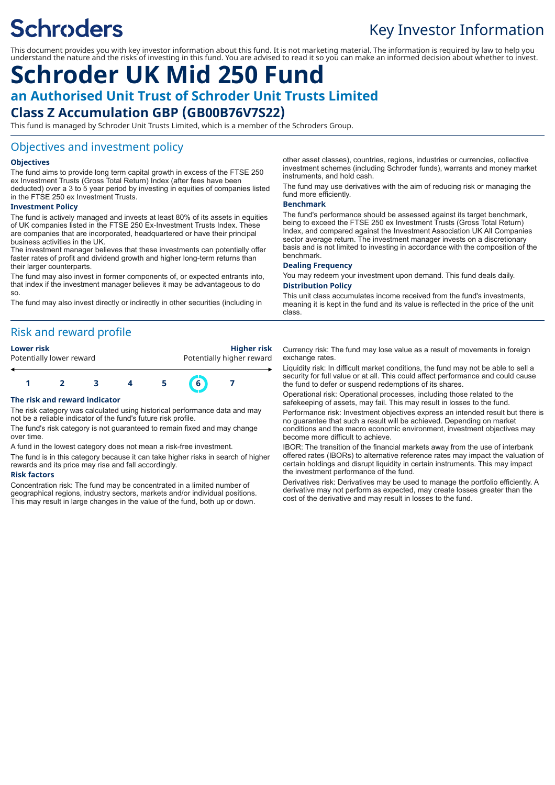## **Schroders**

## Key Investor Information

This document provides you with key investor information about this fund. It is not marketing material. The information is required by law to help you understand the nature and the risks of investing in this fund. You are advised to read it so you can make an informed decision about whether to invest.

# **Schroder UK Mid 250 Fund**

**an Authorised Unit Trust of Schroder Unit Trusts Limited**

## **Class Z Accumulation GBP (GB00B76V7S22)**

This fund is managed by Schroder Unit Trusts Limited, which is a member of the Schroders Group.

## Objectives and investment policy

#### **Objectives**

The fund aims to provide long term capital growth in excess of the FTSE 250 ex Investment Trusts (Gross Total Return) Index (after fees have been deducted) over a 3 to 5 year period by investing in equities of companies listed in the FTSE 250 ex Investment Trusts.

#### **Investment Policy**

The fund is actively managed and invests at least 80% of its assets in equities of UK companies listed in the FTSE 250 Ex-Investment Trusts Index. These are companies that are incorporated, headquartered or have their principal business activities in the UK.

The investment manager believes that these investments can potentially offer faster rates of profit and dividend growth and higher long-term returns than their larger counterparts.

The fund may also invest in former components of, or expected entrants into, that index if the investment manager believes it may be advantageous to do so.

The fund may also invest directly or indirectly in other securities (including in

## Risk and reward profile



#### **The risk and reward indicator**

The risk category was calculated using historical performance data and may not be a reliable indicator of the fund's future risk profile.

The fund's risk category is not guaranteed to remain fixed and may change over time.

A fund in the lowest category does not mean a risk-free investment.

The fund is in this category because it can take higher risks in search of higher rewards and its price may rise and fall accordingly.

#### **Risk factors**

Concentration risk: The fund may be concentrated in a limited number of geographical regions, industry sectors, markets and/or individual positions. This may result in large changes in the value of the fund, both up or down.

other asset classes), countries, regions, industries or currencies, collective investment schemes (including Schroder funds), warrants and money market instruments, and hold cash.

The fund may use derivatives with the aim of reducing risk or managing the fund more efficiently.

#### **Benchmark**

The fund's performance should be assessed against its target benchmark, being to exceed the FTSE 250 ex Investment Trusts (Gross Total Return) Index, and compared against the Investment Association UK All Companies sector average return. The investment manager invests on a discretionary basis and is not limited to investing in accordance with the composition of the benchmark.

#### **Dealing Frequency**

You may redeem your investment upon demand. This fund deals daily. **Distribution Policy**

This unit class accumulates income received from the fund's investments, meaning it is kept in the fund and its value is reflected in the price of the unit class.

Currency risk: The fund may lose value as a result of movements in foreign exchange rates.

Liquidity risk: In difficult market conditions, the fund may not be able to sell a security for full value or at all. This could affect performance and could cause the fund to defer or suspend redemptions of its shares.

Operational risk: Operational processes, including those related to the safekeeping of assets, may fail. This may result in losses to the fund. Performance risk: Investment objectives express an intended result but there is no guarantee that such a result will be achieved. Depending on market conditions and the macro economic environment, investment objectives may become more difficult to achieve.

IBOR: The transition of the financial markets away from the use of interbank offered rates (IBORs) to alternative reference rates may impact the valuation of certain holdings and disrupt liquidity in certain instruments. This may impact the investment performance of the fund.

Derivatives risk: Derivatives may be used to manage the portfolio efficiently. A derivative may not perform as expected, may create losses greater than the cost of the derivative and may result in losses to the fund.